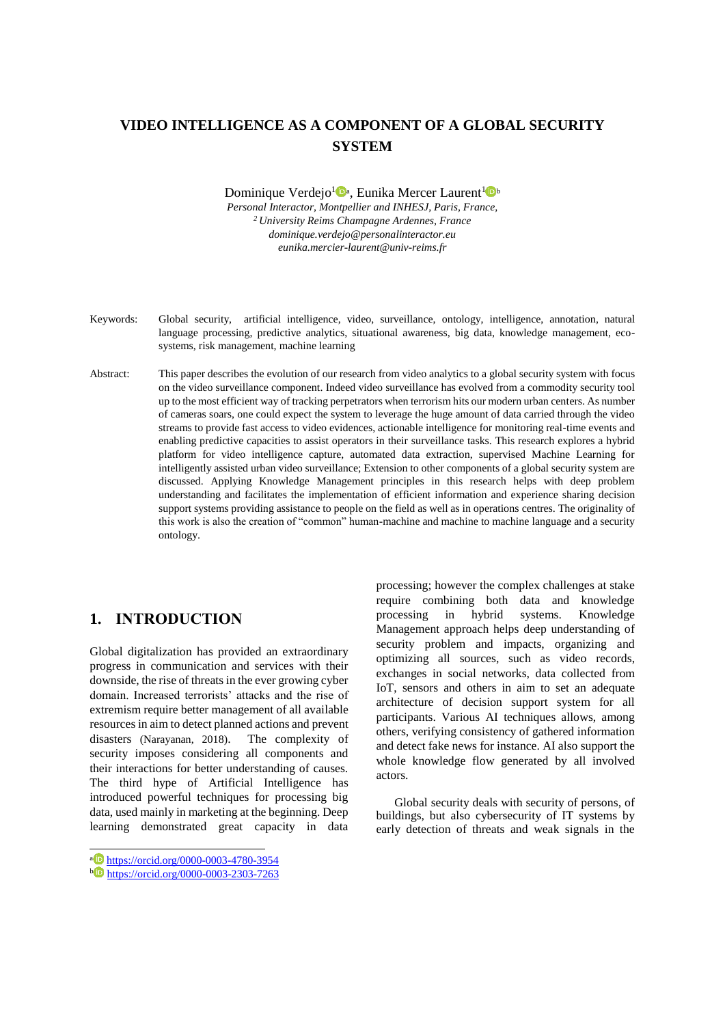# **VIDEO INTELLIGENCE AS A COMPONENT OF A GLOBAL SECURITY SYSTEM**

Dominique Verdejo<sup>1</sup><sup>0</sup><sup>a</sup>, Eunika Mercer Laurent<sup>1</sup><sup>0</sup><sup>t</sup>

*Personal Interactor, Montpellier and INHESJ, Paris, France, <sup>2</sup>University Reims Champagne Ardennes, France [dominique.verdejo@personalinteractor.eu](mailto:dominique.verdejo@personalinteractor.eu) eunika.mercier-laurent@univ-reims.fr*

- Keywords: Global security, artificial intelligence, video, surveillance, ontology, intelligence, annotation, natural language processing, predictive analytics, situational awareness, big data, knowledge management, ecosystems, risk management, machine learning
- Abstract: This paper describes the evolution of our research from video analytics to a global security system with focus on the video surveillance component. Indeed video surveillance has evolved from a commodity security tool up to the most efficient way of tracking perpetrators when terrorism hits our modern urban centers. As number of cameras soars, one could expect the system to leverage the huge amount of data carried through the video streams to provide fast access to video evidences, actionable intelligence for monitoring real-time events and enabling predictive capacities to assist operators in their surveillance tasks. This research explores a hybrid platform for video intelligence capture, automated data extraction, supervised Machine Learning for intelligently assisted urban video surveillance; Extension to other components of a global security system are discussed. Applying Knowledge Management principles in this research helps with deep problem understanding and facilitates the implementation of efficient information and experience sharing decision support systems providing assistance to people on the field as well as in operations centres. The originality of this work is also the creation of "common" human-machine and machine to machine language and a security ontology.

## **1. INTRODUCTION**

Global digitalization has provided an extraordinary progress in communication and services with their downside, the rise of threats in the ever growing cyber domain. Increased terrorists' attacks and the rise of extremism require better management of all available resources in aim to detect planned actions and prevent disasters (Narayanan, 2018). The complexity of security imposes considering all components and their interactions for better understanding of causes. The third hype of Artificial Intelligence has introduced powerful techniques for processing big data, used mainly in marketing at the beginning. Deep learning demonstrated great capacity in data

a <https://orcid.org/0000-0003-4780-3954>

processing; however the complex challenges at stake require combining both data and knowledge processing in hybrid systems. Knowledge Management approach helps deep understanding of security problem and impacts, organizing and optimizing all sources, such as video records, exchanges in social networks, data collected from IoT, sensors and others in aim to set an adequate architecture of decision support system for all participants. Various AI techniques allows, among others, verifying consistency of gathered information and detect fake news for instance. AI also support the whole knowledge flow generated by all involved actors.

Global security deals with security of persons, of buildings, but also cybersecurity of IT systems by early detection of threats and weak signals in the

<sup>b</sup> <https://orcid.org/0000-0003-2303-7263>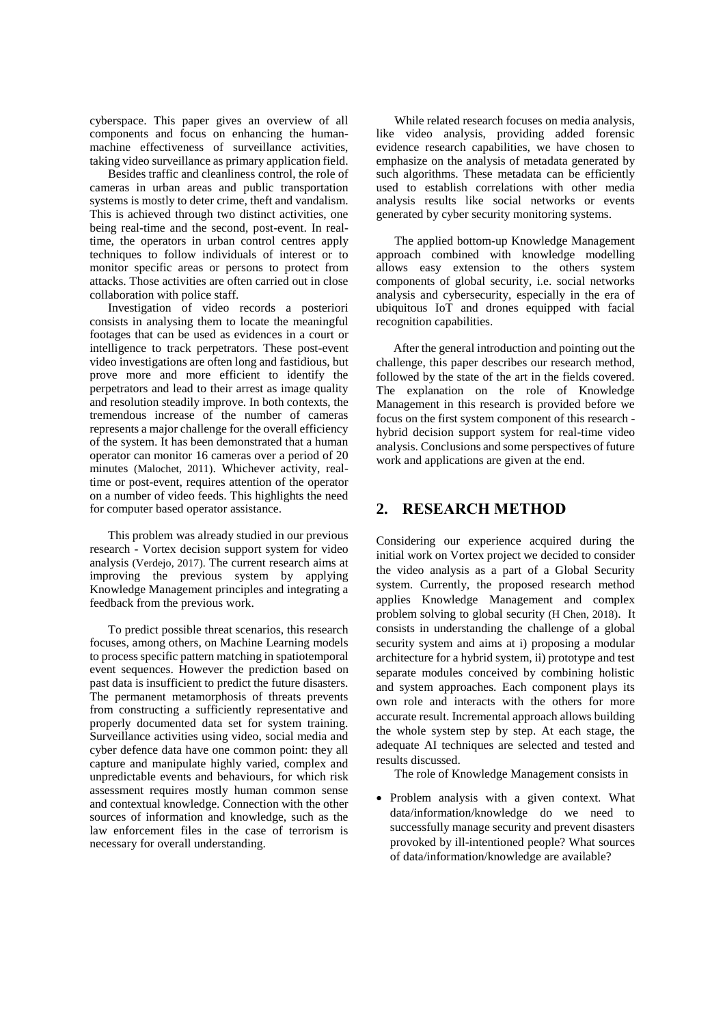cyberspace. This paper gives an overview of all components and focus on enhancing the humanmachine effectiveness of surveillance activities, taking video surveillance as primary application field.

Besides traffic and cleanliness control, the role of cameras in urban areas and public transportation systems is mostly to deter crime, theft and vandalism. This is achieved through two distinct activities, one being real-time and the second, post-event. In realtime, the operators in urban control centres apply techniques to follow individuals of interest or to monitor specific areas or persons to protect from attacks. Those activities are often carried out in close collaboration with police staff.

Investigation of video records a posteriori consists in analysing them to locate the meaningful footages that can be used as evidences in a court or intelligence to track perpetrators. These post-event video investigations are often long and fastidious, but prove more and more efficient to identify the perpetrators and lead to their arrest as image quality and resolution steadily improve. In both contexts, the tremendous increase of the number of cameras represents a major challenge for the overall efficiency of the system. It has been demonstrated that a human operator can monitor 16 cameras over a period of 20 minutes (Malochet, 2011). Whichever activity, realtime or post-event, requires attention of the operator on a number of video feeds. This highlights the need for computer based operator assistance.

This problem was already studied in our previous research - Vortex decision support system for video analysis (Verdejo, 2017). The current research aims at improving the previous system by applying Knowledge Management principles and integrating a feedback from the previous work.

To predict possible threat scenarios, this research focuses, among others, on Machine Learning models to process specific pattern matching in spatiotemporal event sequences. However the prediction based on past data is insufficient to predict the future disasters. The permanent metamorphosis of threats prevents from constructing a sufficiently representative and properly documented data set for system training. Surveillance activities using video, social media and cyber defence data have one common point: they all capture and manipulate highly varied, complex and unpredictable events and behaviours, for which risk assessment requires mostly human common sense and contextual knowledge. Connection with the other sources of information and knowledge, such as the law enforcement files in the case of terrorism is necessary for overall understanding.

While related research focuses on media analysis, like video analysis, providing added forensic evidence research capabilities, we have chosen to emphasize on the analysis of metadata generated by such algorithms. These metadata can be efficiently used to establish correlations with other media analysis results like social networks or events generated by cyber security monitoring systems.

The applied bottom-up Knowledge Management approach combined with knowledge modelling allows easy extension to the others system components of global security, i.e. social networks analysis and cybersecurity, especially in the era of ubiquitous IoT and drones equipped with facial recognition capabilities.

After the general introduction and pointing out the challenge, this paper describes our research method, followed by the state of the art in the fields covered. The explanation on the role of Knowledge Management in this research is provided before we focus on the first system component of this research hybrid decision support system for real-time video analysis. Conclusions and some perspectives of future work and applications are given at the end.

#### **2. RESEARCH METHOD**

Considering our experience acquired during the initial work on Vortex project we decided to consider the video analysis as a part of a Global Security system. Currently, the proposed research method applies Knowledge Management and complex problem solving to global security (H Chen, 2018). It consists in understanding the challenge of a global security system and aims at i) proposing a modular architecture for a hybrid system, ii) prototype and test separate modules conceived by combining holistic and system approaches. Each component plays its own role and interacts with the others for more accurate result. Incremental approach allows building the whole system step by step. At each stage, the adequate AI techniques are selected and tested and results discussed.

The role of Knowledge Management consists in

• Problem analysis with a given context. What data/information/knowledge do we need to successfully manage security and prevent disasters provoked by ill-intentioned people? What sources of data/information/knowledge are available?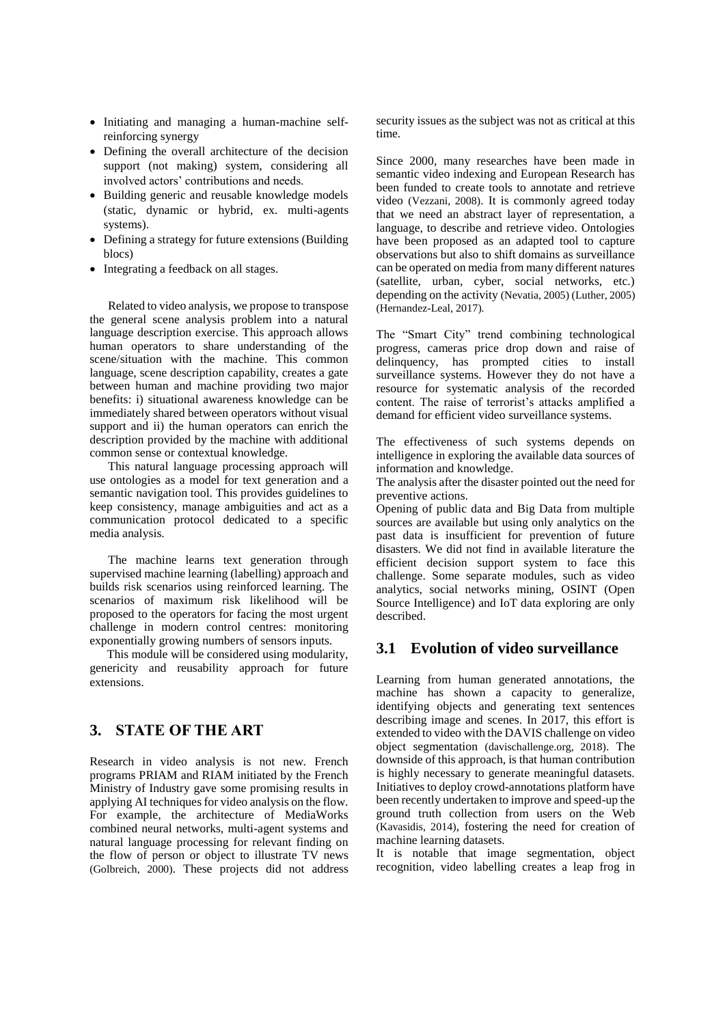- Initiating and managing a human-machine selfreinforcing synergy
- Defining the overall architecture of the decision support (not making) system, considering all involved actors' contributions and needs.
- Building generic and reusable knowledge models (static, dynamic or hybrid, ex. multi-agents systems).
- Defining a strategy for future extensions (Building blocs)
- Integrating a feedback on all stages.

Related to video analysis, we propose to transpose the general scene analysis problem into a natural language description exercise. This approach allows human operators to share understanding of the scene/situation with the machine. This common language, scene description capability, creates a gate between human and machine providing two major benefits: i) situational awareness knowledge can be immediately shared between operators without visual support and ii) the human operators can enrich the description provided by the machine with additional common sense or contextual knowledge.

This natural language processing approach will use ontologies as a model for text generation and a semantic navigation tool. This provides guidelines to keep consistency, manage ambiguities and act as a communication protocol dedicated to a specific media analysis.

The machine learns text generation through supervised machine learning (labelling) approach and builds risk scenarios using reinforced learning. The scenarios of maximum risk likelihood will be proposed to the operators for facing the most urgent challenge in modern control centres: monitoring exponentially growing numbers of sensors inputs.

This module will be considered using modularity, genericity and reusability approach for future extensions.

#### **3. STATE OF THE ART**

Research in video analysis is not new. French programs PRIAM and RIAM initiated by the French Ministry of Industry gave some promising results in applying AI techniques for video analysis on the flow. For example, the architecture of MediaWorks combined neural networks, multi-agent systems and natural language processing for relevant finding on the flow of person or object to illustrate TV news (Golbreich, 2000). These projects did not address security issues as the subject was not as critical at this time.

Since 2000, many researches have been made in semantic video indexing and European Research has been funded to create tools to annotate and retrieve video (Vezzani, 2008). It is commonly agreed today that we need an abstract layer of representation, a language, to describe and retrieve video. Ontologies have been proposed as an adapted tool to capture observations but also to shift domains as surveillance can be operated on media from many different natures (satellite, urban, cyber, social networks, etc.) depending on the activity (Nevatia, 2005) (Luther, 2005) (Hernandez-Leal, 2017).

The "Smart City" trend combining technological progress, cameras price drop down and raise of delinquency, has prompted cities to install surveillance systems. However they do not have a resource for systematic analysis of the recorded content. The raise of terrorist's attacks amplified a demand for efficient video surveillance systems.

The effectiveness of such systems depends on intelligence in exploring the available data sources of information and knowledge.

The analysis after the disaster pointed out the need for preventive actions.

Opening of public data and Big Data from multiple sources are available but using only analytics on the past data is insufficient for prevention of future disasters. We did not find in available literature the efficient decision support system to face this challenge. Some separate modules, such as video analytics, social networks mining, OSINT (Open Source Intelligence) and IoT data exploring are only described.

#### **3.1 Evolution of video surveillance**

Learning from human generated annotations, the machine has shown a capacity to generalize, identifying objects and generating text sentences describing image and scenes. In 2017, this effort is extended to video with the DAVIS challenge on video object segmentation (davischallenge.org, 2018). The downside of this approach, is that human contribution is highly necessary to generate meaningful datasets. Initiatives to deploy crowd-annotations platform have been recently undertaken to improve and speed-up the ground truth collection from users on the Web (Kavasidis, 2014), fostering the need for creation of machine learning datasets.

It is notable that image segmentation, object recognition, video labelling creates a leap frog in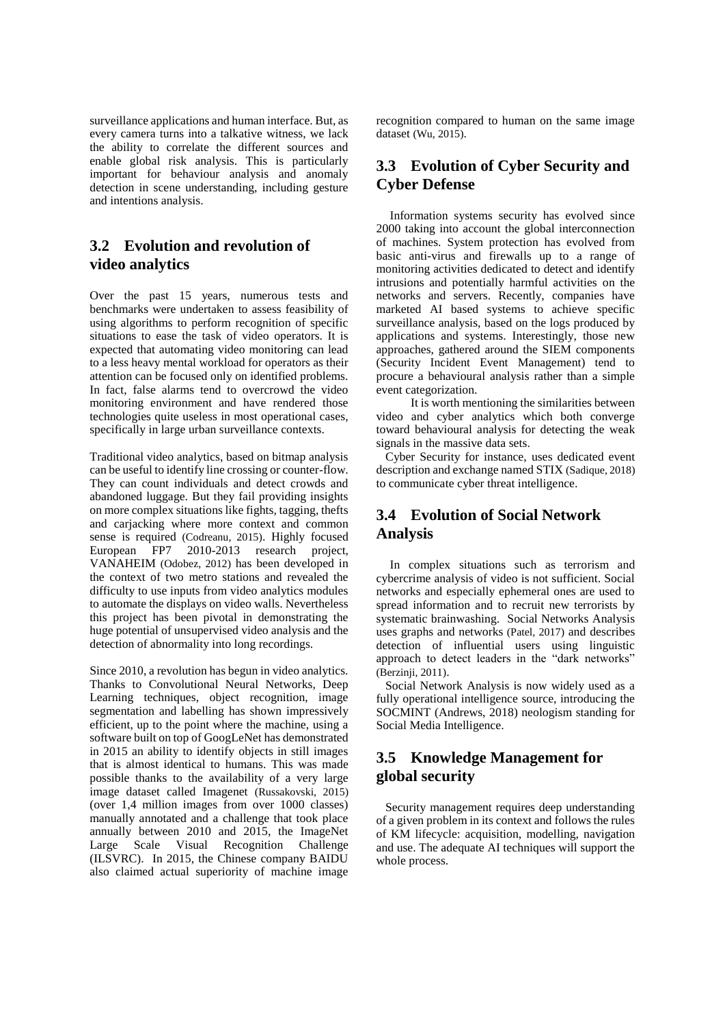surveillance applications and human interface. But, as every camera turns into a talkative witness, we lack the ability to correlate the different sources and enable global risk analysis. This is particularly important for behaviour analysis and anomaly detection in scene understanding, including gesture and intentions analysis.

# **3.2 Evolution and revolution of video analytics**

Over the past 15 years, numerous tests and benchmarks were undertaken to assess feasibility of using algorithms to perform recognition of specific situations to ease the task of video operators. It is expected that automating video monitoring can lead to a less heavy mental workload for operators as their attention can be focused only on identified problems. In fact, false alarms tend to overcrowd the video monitoring environment and have rendered those technologies quite useless in most operational cases, specifically in large urban surveillance contexts.

Traditional video analytics, based on bitmap analysis can be useful to identify line crossing or counter-flow. They can count individuals and detect crowds and abandoned luggage. But they fail providing insights on more complex situations like fights, tagging, thefts and carjacking where more context and common sense is required (Codreanu, 2015). Highly focused European FP7 2010-2013 research project, VANAHEIM (Odobez, 2012) has been developed in the context of two metro stations and revealed the difficulty to use inputs from video analytics modules to automate the displays on video walls. Nevertheless this project has been pivotal in demonstrating the huge potential of unsupervised video analysis and the detection of abnormality into long recordings.

Since 2010, a revolution has begun in video analytics. Thanks to Convolutional Neural Networks, Deep Learning techniques, object recognition, image segmentation and labelling has shown impressively efficient, up to the point where the machine, using a software built on top of GoogLeNet has demonstrated in 2015 an ability to identify objects in still images that is almost identical to humans. This was made possible thanks to the availability of a very large image dataset called Imagenet (Russakovski, 2015) (over 1,4 million images from over 1000 classes) manually annotated and a challenge that took place annually between 2010 and 2015, the ImageNet Large Scale Visual Recognition Challenge (ILSVRC). In 2015, the Chinese company BAIDU also claimed actual superiority of machine image

recognition compared to human on the same image dataset (Wu, 2015).

#### **3.3 Evolution of Cyber Security and Cyber Defense**

Information systems security has evolved since 2000 taking into account the global interconnection of machines. System protection has evolved from basic anti-virus and firewalls up to a range of monitoring activities dedicated to detect and identify intrusions and potentially harmful activities on the networks and servers. Recently, companies have marketed AI based systems to achieve specific surveillance analysis, based on the logs produced by applications and systems. Interestingly, those new approaches, gathered around the SIEM components (Security Incident Event Management) tend to procure a behavioural analysis rather than a simple event categorization.

It is worth mentioning the similarities between video and cyber analytics which both converge toward behavioural analysis for detecting the weak signals in the massive data sets.

Cyber Security for instance, uses dedicated event description and exchange named STIX (Sadique, 2018) to communicate cyber threat intelligence.

# **3.4 Evolution of Social Network Analysis**

In complex situations such as terrorism and cybercrime analysis of video is not sufficient. Social networks and especially ephemeral ones are used to spread information and to recruit new terrorists by systematic brainwashing. Social Networks Analysis uses graphs and networks (Patel, 2017) and describes detection of influential users using linguistic approach to detect leaders in the "dark networks" (Berzinji, 2011).

Social Network Analysis is now widely used as a fully operational intelligence source, introducing the SOCMINT (Andrews, 2018) neologism standing for Social Media Intelligence.

## **3.5 Knowledge Management for global security**

Security management requires deep understanding of a given problem in its context and follows the rules of KM lifecycle: acquisition, modelling, navigation and use. The adequate AI techniques will support the whole process.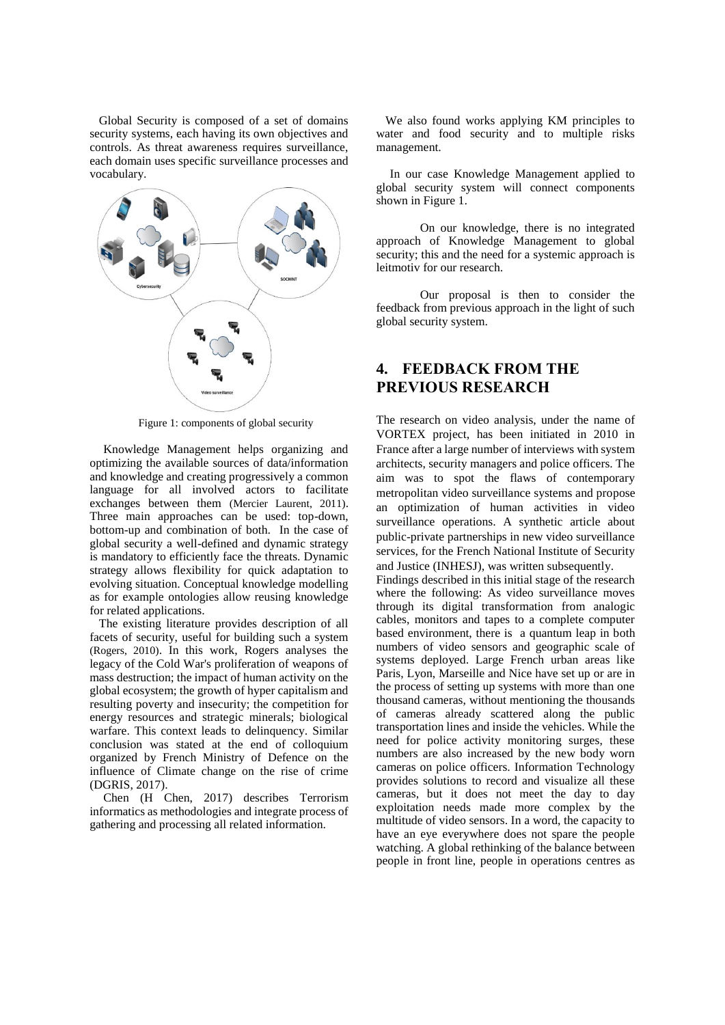Global Security is composed of a set of domains security systems, each having its own objectives and controls. As threat awareness requires surveillance, each domain uses specific surveillance processes and vocabulary.



Figure 1: components of global security

Knowledge Management helps organizing and optimizing the available sources of data/information and knowledge and creating progressively a common language for all involved actors to facilitate exchanges between them (Mercier Laurent, 2011). Three main approaches can be used: top-down, bottom-up and combination of both. In the case of global security a well-defined and dynamic strategy is mandatory to efficiently face the threats. Dynamic strategy allows flexibility for quick adaptation to evolving situation. Conceptual knowledge modelling as for example ontologies allow reusing knowledge for related applications.

The existing literature provides description of all facets of security, useful for building such a system (Rogers, 2010). In this work, Rogers analyses the legacy of the Cold War's proliferation of weapons of mass destruction; the impact of human activity on the global ecosystem; the growth of hyper capitalism and resulting poverty and insecurity; the competition for energy resources and strategic minerals; biological warfare. This context leads to delinquency. Similar conclusion was stated at the end of colloquium organized by French Ministry of Defence on the influence of Climate change on the rise of crime (DGRIS, 2017).

Chen (H Chen, 2017) describes Terrorism informatics as methodologies and integrate process of gathering and processing all related information.

We also found works applying KM principles to water and food security and to multiple risks management.

In our case Knowledge Management applied to global security system will connect components shown in Figure 1.

On our knowledge, there is no integrated approach of Knowledge Management to global security; this and the need for a systemic approach is leitmotiv for our research.

Our proposal is then to consider the feedback from previous approach in the light of such global security system.

# **4. FEEDBACK FROM THE PREVIOUS RESEARCH**

The research on video analysis, under the name of VORTEX project, has been initiated in 2010 in France after a large number of interviews with system architects, security managers and police officers. The aim was to spot the flaws of contemporary metropolitan video surveillance systems and propose an optimization of human activities in video surveillance operations. A synthetic article about public-private partnerships in new video surveillance services, for the French National Institute of Security and Justice (INHESJ), was written subsequently.

Findings described in this initial stage of the research where the following: As video surveillance moves through its digital transformation from analogic cables, monitors and tapes to a complete computer based environment, there is a quantum leap in both numbers of video sensors and geographic scale of systems deployed. Large French urban areas like Paris, Lyon, Marseille and Nice have set up or are in the process of setting up systems with more than one thousand cameras, without mentioning the thousands of cameras already scattered along the public transportation lines and inside the vehicles. While the need for police activity monitoring surges, these numbers are also increased by the new body worn cameras on police officers. Information Technology provides solutions to record and visualize all these cameras, but it does not meet the day to day exploitation needs made more complex by the multitude of video sensors. In a word, the capacity to have an eye everywhere does not spare the people watching. A global rethinking of the balance between people in front line, people in operations centres as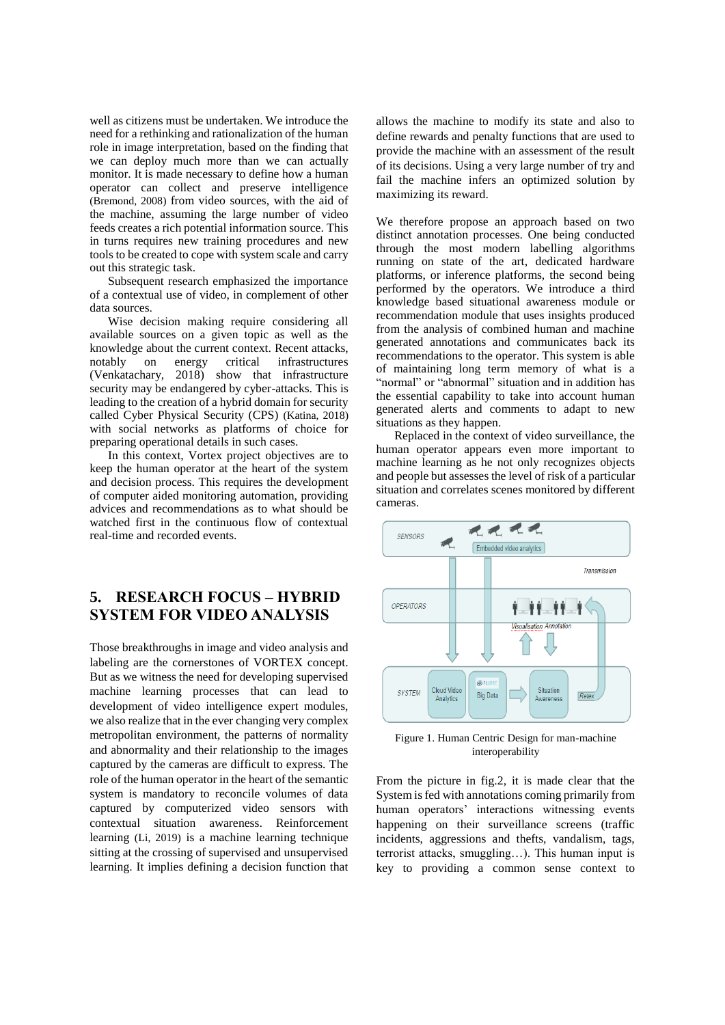well as citizens must be undertaken. We introduce the need for a rethinking and rationalization of the human role in image interpretation, based on the finding that we can deploy much more than we can actually monitor. It is made necessary to define how a human operator can collect and preserve intelligence (Bremond, 2008) from video sources, with the aid of the machine, assuming the large number of video feeds creates a rich potential information source. This in turns requires new training procedures and new tools to be created to cope with system scale and carry out this strategic task.

Subsequent research emphasized the importance of a contextual use of video, in complement of other data sources.

Wise decision making require considering all available sources on a given topic as well as the knowledge about the current context. Recent attacks, notably on energy critical infrastructures (Venkatachary, 2018) show that infrastructure security may be endangered by cyber-attacks. This is leading to the creation of a hybrid domain for security called Cyber Physical Security (CPS) (Katina, 2018) with social networks as platforms of choice for preparing operational details in such cases.

In this context, Vortex project objectives are to keep the human operator at the heart of the system and decision process. This requires the development of computer aided monitoring automation, providing advices and recommendations as to what should be watched first in the continuous flow of contextual real-time and recorded events.

# **5. RESEARCH FOCUS – HYBRID SYSTEM FOR VIDEO ANALYSIS**

Those breakthroughs in image and video analysis and labeling are the cornerstones of VORTEX concept. But as we witness the need for developing supervised machine learning processes that can lead to development of video intelligence expert modules, we also realize that in the ever changing very complex metropolitan environment, the patterns of normality and abnormality and their relationship to the images captured by the cameras are difficult to express. The role of the human operator in the heart of the semantic system is mandatory to reconcile volumes of data captured by computerized video sensors with contextual situation awareness. Reinforcement learning (Li, 2019) is a machine learning technique sitting at the crossing of supervised and unsupervised learning. It implies defining a decision function that

allows the machine to modify its state and also to define rewards and penalty functions that are used to provide the machine with an assessment of the result of its decisions. Using a very large number of try and fail the machine infers an optimized solution by maximizing its reward.

We therefore propose an approach based on two distinct annotation processes. One being conducted through the most modern labelling algorithms running on state of the art, dedicated hardware platforms, or inference platforms, the second being performed by the operators. We introduce a third knowledge based situational awareness module or recommendation module that uses insights produced from the analysis of combined human and machine generated annotations and communicates back its recommendations to the operator. This system is able of maintaining long term memory of what is a "normal" or "abnormal" situation and in addition has the essential capability to take into account human generated alerts and comments to adapt to new situations as they happen.

Replaced in the context of video surveillance, the human operator appears even more important to machine learning as he not only recognizes objects and people but assesses the level of risk of a particular situation and correlates scenes monitored by different cameras.



Figure 1. Human Centric Design for man-machine interoperability

From the picture in fig.2, it is made clear that the System is fed with annotations coming primarily from human operators' interactions witnessing events happening on their surveillance screens (traffic incidents, aggressions and thefts, vandalism, tags, terrorist attacks, smuggling…). This human input is key to providing a common sense context to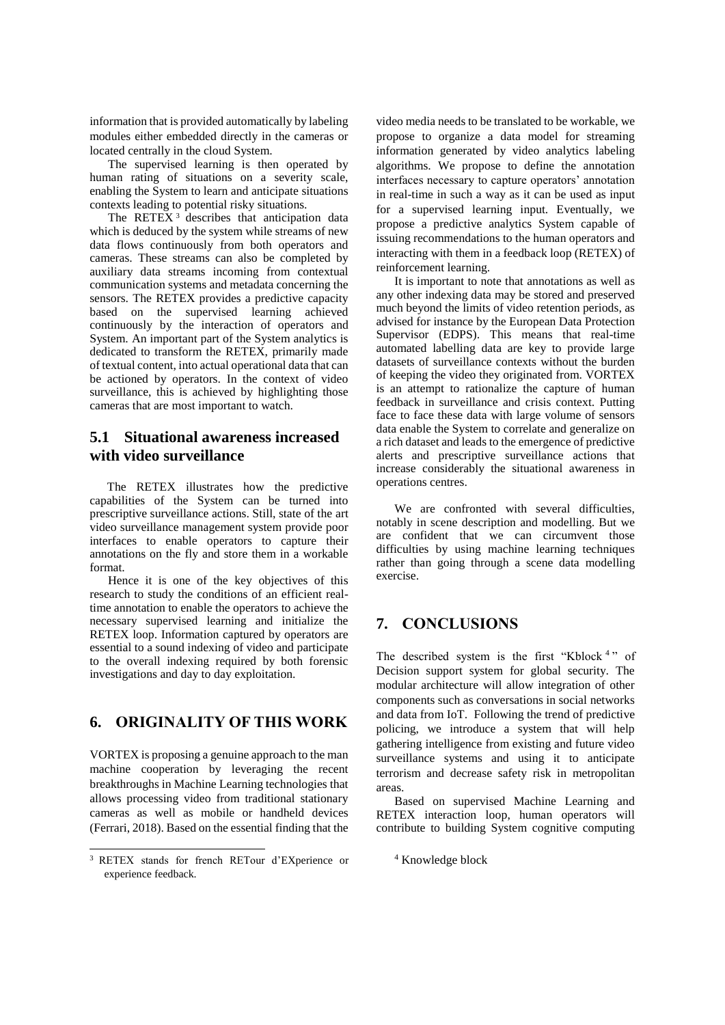information that is provided automatically by labeling modules either embedded directly in the cameras or located centrally in the cloud System.

The supervised learning is then operated by human rating of situations on a severity scale, enabling the System to learn and anticipate situations contexts leading to potential risky situations.

The RETEX<sup>3</sup> describes that anticipation data which is deduced by the system while streams of new data flows continuously from both operators and cameras. These streams can also be completed by auxiliary data streams incoming from contextual communication systems and metadata concerning the sensors. The RETEX provides a predictive capacity based on the supervised learning achieved continuously by the interaction of operators and System. An important part of the System analytics is dedicated to transform the RETEX, primarily made of textual content, into actual operational data that can be actioned by operators. In the context of video surveillance, this is achieved by highlighting those cameras that are most important to watch.

#### **5.1 Situational awareness increased with video surveillance**

The RETEX illustrates how the predictive capabilities of the System can be turned into prescriptive surveillance actions. Still, state of the art video surveillance management system provide poor interfaces to enable operators to capture their annotations on the fly and store them in a workable format.

Hence it is one of the key objectives of this research to study the conditions of an efficient realtime annotation to enable the operators to achieve the necessary supervised learning and initialize the RETEX loop. Information captured by operators are essential to a sound indexing of video and participate to the overall indexing required by both forensic investigations and day to day exploitation.

### **6. ORIGINALITY OF THIS WORK**

VORTEX is proposing a genuine approach to the man machine cooperation by leveraging the recent breakthroughs in Machine Learning technologies that allows processing video from traditional stationary cameras as well as mobile or handheld devices (Ferrari, 2018). Based on the essential finding that the

 $\overline{a}$ 

video media needs to be translated to be workable, we propose to organize a data model for streaming information generated by video analytics labeling algorithms. We propose to define the annotation interfaces necessary to capture operators' annotation in real-time in such a way as it can be used as input for a supervised learning input. Eventually, we propose a predictive analytics System capable of issuing recommendations to the human operators and interacting with them in a feedback loop (RETEX) of reinforcement learning.

It is important to note that annotations as well as any other indexing data may be stored and preserved much beyond the limits of video retention periods, as advised for instance by the European Data Protection Supervisor (EDPS). This means that real-time automated labelling data are key to provide large datasets of surveillance contexts without the burden of keeping the video they originated from. VORTEX is an attempt to rationalize the capture of human feedback in surveillance and crisis context. Putting face to face these data with large volume of sensors data enable the System to correlate and generalize on a rich dataset and leads to the emergence of predictive alerts and prescriptive surveillance actions that increase considerably the situational awareness in operations centres.

We are confronted with several difficulties, notably in scene description and modelling. But we are confident that we can circumvent those difficulties by using machine learning techniques rather than going through a scene data modelling exercise.

#### **7. CONCLUSIONS**

The described system is the first "Kblock<sup>4</sup>" of Decision support system for global security. The modular architecture will allow integration of other components such as conversations in social networks and data from IoT. Following the trend of predictive policing, we introduce a system that will help gathering intelligence from existing and future video surveillance systems and using it to anticipate terrorism and decrease safety risk in metropolitan areas.

Based on supervised Machine Learning and RETEX interaction loop, human operators will contribute to building System cognitive computing

<sup>4</sup> Knowledge block

<sup>3</sup> RETEX stands for french RETour d'EXperience or experience feedback.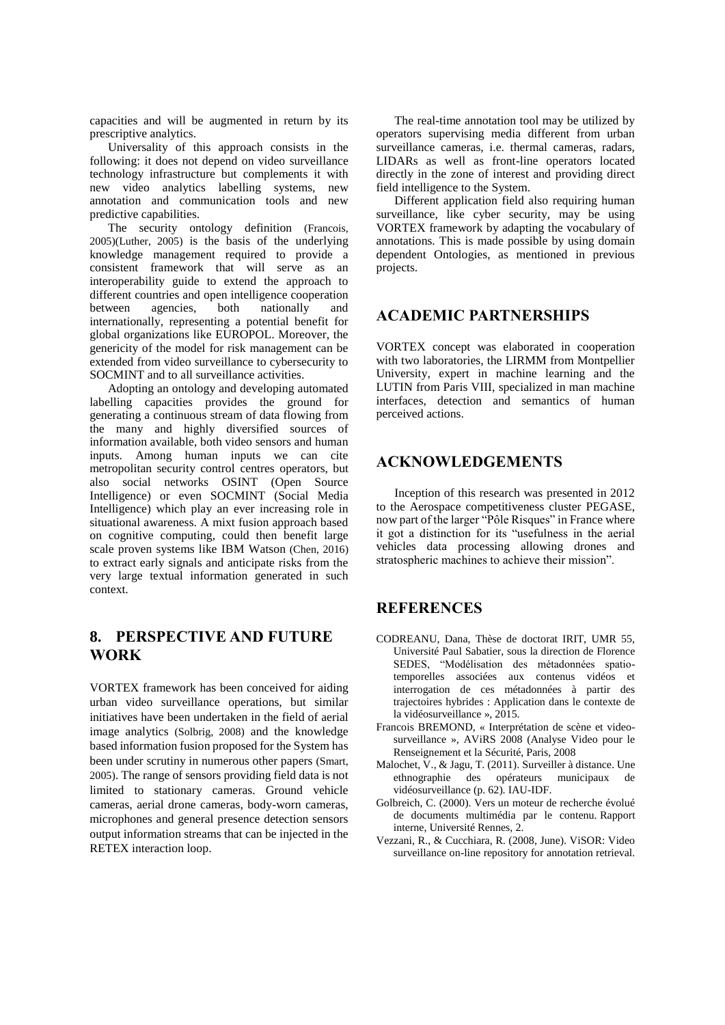capacities and will be augmented in return by its prescriptive analytics.

Universality of this approach consists in the following: it does not depend on video surveillance technology infrastructure but complements it with new video analytics labelling systems, new annotation and communication tools and new predictive capabilities.

The security ontology definition (Francois, 2005)(Luther, 2005) is the basis of the underlying knowledge management required to provide a consistent framework that will serve as an interoperability guide to extend the approach to different countries and open intelligence cooperation between agencies, both nationally and internationally, representing a potential benefit for global organizations like EUROPOL. Moreover, the genericity of the model for risk management can be extended from video surveillance to cybersecurity to SOCMINT and to all surveillance activities.

Adopting an ontology and developing automated labelling capacities provides the ground for generating a continuous stream of data flowing from the many and highly diversified sources of information available, both video sensors and human inputs. Among human inputs we can cite metropolitan security control centres operators, but also social networks OSINT (Open Source Intelligence) or even SOCMINT (Social Media Intelligence) which play an ever increasing role in situational awareness. A mixt fusion approach based on cognitive computing, could then benefit large scale proven systems like IBM Watson (Chen, 2016) to extract early signals and anticipate risks from the very large textual information generated in such context.

# **8. PERSPECTIVE AND FUTURE WORK**

VORTEX framework has been conceived for aiding urban video surveillance operations, but similar initiatives have been undertaken in the field of aerial image analytics (Solbrig, 2008) and the knowledge based information fusion proposed for the System has been under scrutiny in numerous other papers (Smart, 2005). The range of sensors providing field data is not limited to stationary cameras. Ground vehicle cameras, aerial drone cameras, body-worn cameras, microphones and general presence detection sensors output information streams that can be injected in the RETEX interaction loop.

The real-time annotation tool may be utilized by operators supervising media different from urban surveillance cameras, i.e. thermal cameras, radars, LIDARs as well as front-line operators located directly in the zone of interest and providing direct field intelligence to the System.

Different application field also requiring human surveillance, like cyber security, may be using VORTEX framework by adapting the vocabulary of annotations. This is made possible by using domain dependent Ontologies, as mentioned in previous projects.

### **ACADEMIC PARTNERSHIPS**

VORTEX concept was elaborated in cooperation with two laboratories, the LIRMM from Montpellier University, expert in machine learning and the LUTIN from Paris VIII, specialized in man machine interfaces, detection and semantics of human perceived actions.

#### **ACKNOWLEDGEMENTS**

Inception of this research was presented in 2012 to the Aerospace competitiveness cluster PEGASE, now part of the larger "Pôle Risques" in France where it got a distinction for its "usefulness in the aerial vehicles data processing allowing drones and stratospheric machines to achieve their mission".

## **REFERENCES**

- CODREANU, Dana, Thèse de doctorat IRIT, UMR 55, Université Paul Sabatier, sous la direction de Florence SEDES, "Modélisation des métadonnées spatiotemporelles associées aux contenus vidéos et interrogation de ces métadonnées à partir des trajectoires hybrides : Application dans le contexte de la vidéosurveillance », 2015.
- Francois BREMOND, « Interprétation de scène et videosurveillance », AViRS 2008 (Analyse Video pour le Renseignement et la Sécurité, Paris, 2008
- Malochet, V., & Jagu, T. (2011). Surveiller à distance. Une ethnographie des opérateurs municipaux de vidéosurveillance (p. 62). IAU-IDF.
- Golbreich, C. (2000). Vers un moteur de recherche évolué de documents multimédia par le contenu. Rapport interne, Université Rennes, 2.
- Vezzani, R., & Cucchiara, R. (2008, June). ViSOR: Video surveillance on-line repository for annotation retrieval.